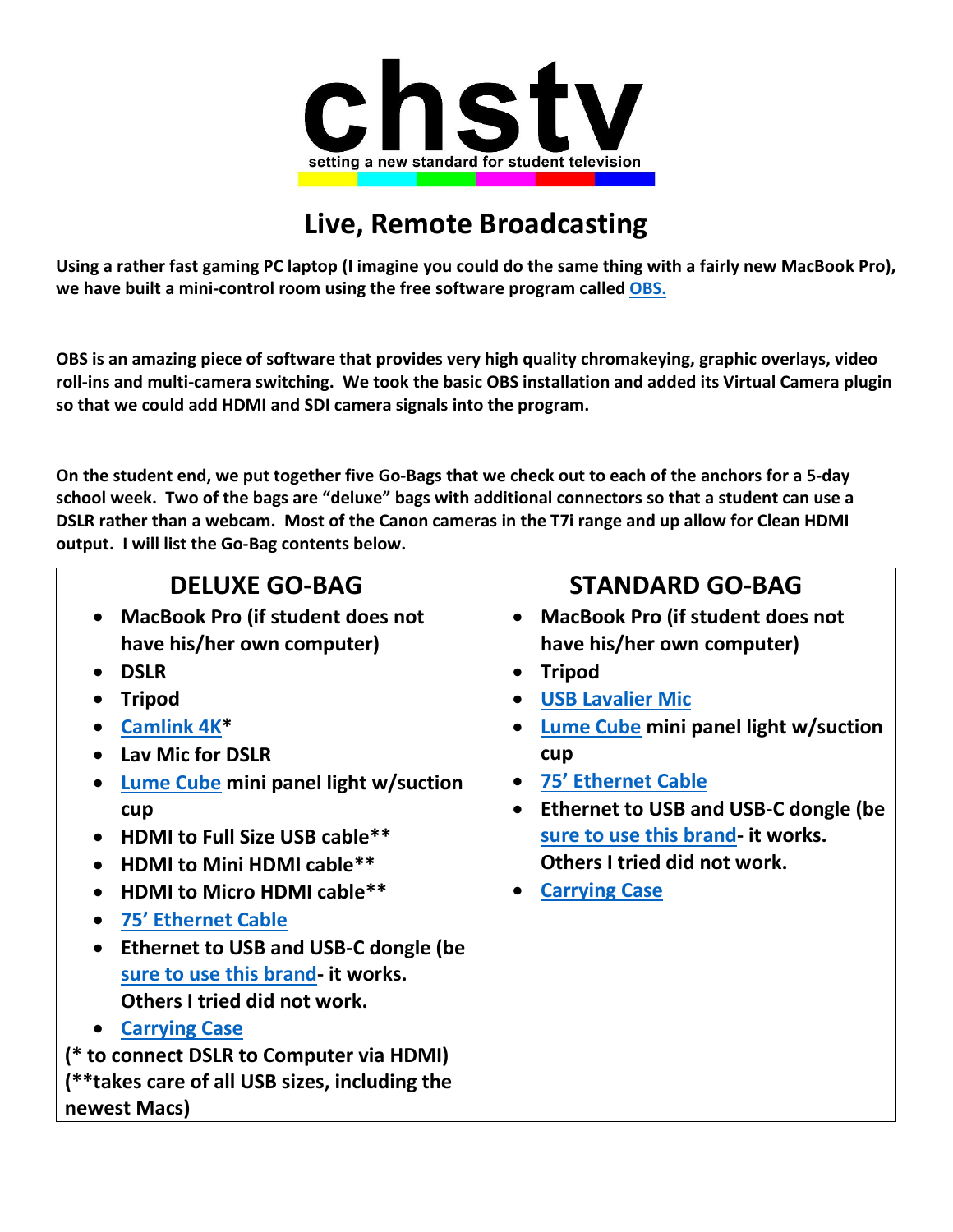

## **Live, Remote Broadcasting**

**Using a rather fast gaming PC laptop (I imagine you could do the same thing with a fairly new MacBook Pro), we have built a mini-control room using the free software program calle[d OBS.](https://obsproject.com/)**

**OBS is an amazing piece of software that provides very high quality chromakeying, graphic overlays, video roll-ins and multi-camera switching. We took the basic OBS installation and added its Virtual Camera plugin so that we could add HDMI and SDI camera signals into the program.**

**On the student end, we put together five Go-Bags that we check out to each of the anchors for a 5-day school week. Two of the bags are "deluxe" bags with additional connectors so that a student can use a DSLR rather than a webcam. Most of the Canon cameras in the T7i range and up allow for Clean HDMI output. I will list the Go-Bag contents below.**

| <b>STANDARD GO-BAG</b>                            |
|---------------------------------------------------|
| • MacBook Pro (if student does not                |
| have his/her own computer)                        |
| <b>Tripod</b><br>$\bullet$                        |
| <b>USB Lavalier Mic</b><br>$\bullet$              |
| Lume Cube mini panel light w/suction              |
| cup                                               |
| <b>75' Ethernet Cable</b><br>$\bullet$            |
| Ethernet to USB and USB-C dongle (be<br>$\bullet$ |
| sure to use this brand- it works.                 |
| Others I tried did not work.                      |
| <b>Carrying Case</b><br>$\bullet$                 |
|                                                   |
|                                                   |
|                                                   |
|                                                   |
|                                                   |
|                                                   |
|                                                   |
|                                                   |
|                                                   |